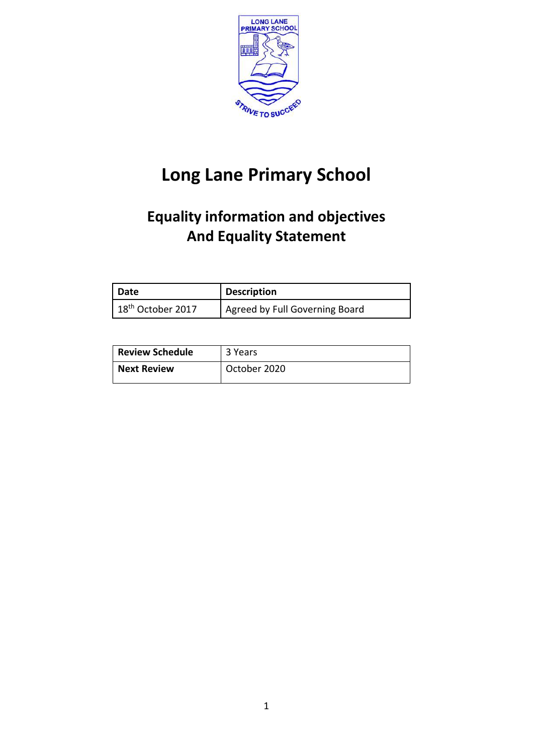

# **Long Lane Primary School**

# **Equality information and objectives And Equality Statement**

| Date                          | <b>Description</b>             |
|-------------------------------|--------------------------------|
| 18 <sup>th</sup> October 2017 | Agreed by Full Governing Board |

| <b>Review Schedule</b> | 3 Years      |
|------------------------|--------------|
| <b>Next Review</b>     | October 2020 |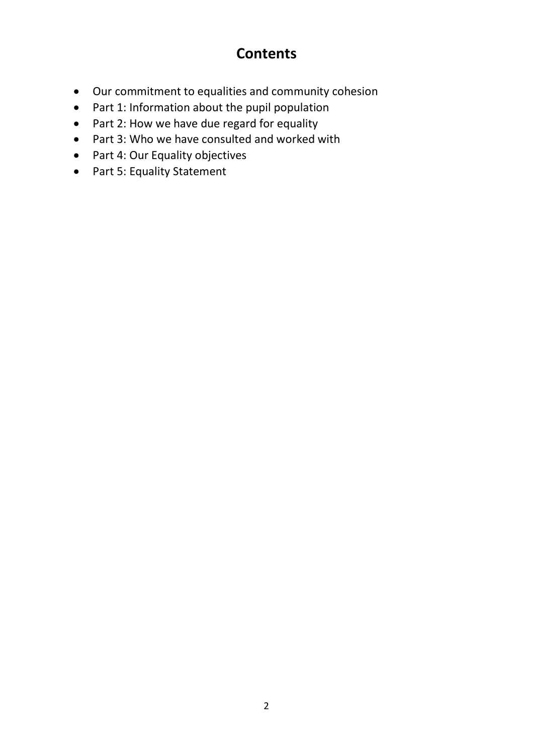# **Contents**

- Our commitment to equalities and community cohesion
- Part 1: Information about the pupil population
- Part 2: How we have due regard for equality
- Part 3: Who we have consulted and worked with
- Part 4: Our Equality objectives
- Part 5: Equality Statement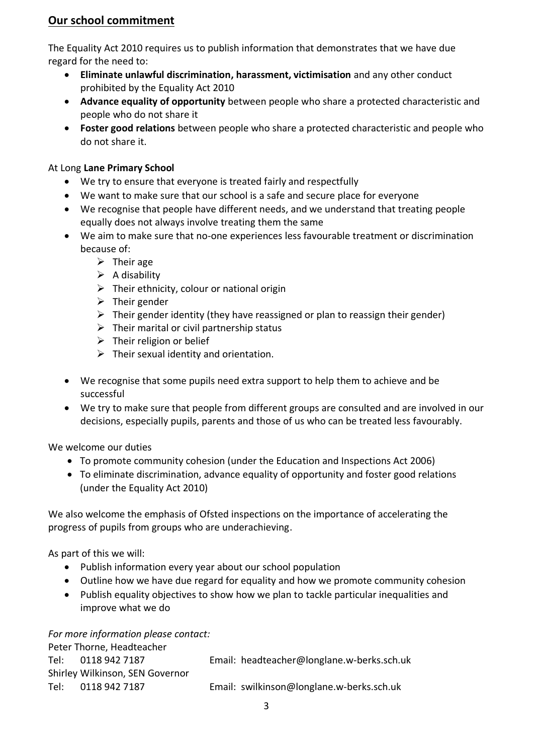## **Our school commitment**

The Equality Act 2010 requires us to publish information that demonstrates that we have due regard for the need to:

- **Eliminate unlawful discrimination, harassment, victimisation** and any other conduct prohibited by the Equality Act 2010
- **Advance equality of opportunity** between people who share a protected characteristic and people who do not share it
- **Foster good relations** between people who share a protected characteristic and people who do not share it.

## At Long **Lane Primary School**

- We try to ensure that everyone is treated fairly and respectfully
- We want to make sure that our school is a safe and secure place for everyone
- We recognise that people have different needs, and we understand that treating people equally does not always involve treating them the same
- We aim to make sure that no-one experiences less favourable treatment or discrimination because of:
	- $\triangleright$  Their age
	- $\triangleright$  A disability
	- $\triangleright$  Their ethnicity, colour or national origin
	- $\triangleright$  Their gender
	- $\triangleright$  Their gender identity (they have reassigned or plan to reassign their gender)
	- $\triangleright$  Their marital or civil partnership status
	- $\triangleright$  Their religion or belief
	- $\triangleright$  Their sexual identity and orientation.
- We recognise that some pupils need extra support to help them to achieve and be successful
- We try to make sure that people from different groups are consulted and are involved in our decisions, especially pupils, parents and those of us who can be treated less favourably.

We welcome our duties

- To promote community cohesion (under the Education and Inspections Act 2006)
- To eliminate discrimination, advance equality of opportunity and foster good relations (under the Equality Act 2010)

We also welcome the emphasis of Ofsted inspections on the importance of accelerating the progress of pupils from groups who are underachieving.

As part of this we will:

- Publish information every year about our school population
- Outline how we have due regard for equality and how we promote community cohesion
- Publish equality objectives to show how we plan to tackle particular inequalities and improve what we do

*For more information please contact:*

|        | Peter Thorne, Headteacher       |                                            |
|--------|---------------------------------|--------------------------------------------|
|        | Tel: 0118 942 7187              | Email: headteacher@longlane.w-berks.sch.uk |
|        | Shirley Wilkinson, SEN Governor |                                            |
| Tel: I | 0118 942 7187                   | Email: swilkinson@longlane.w-berks.sch.uk  |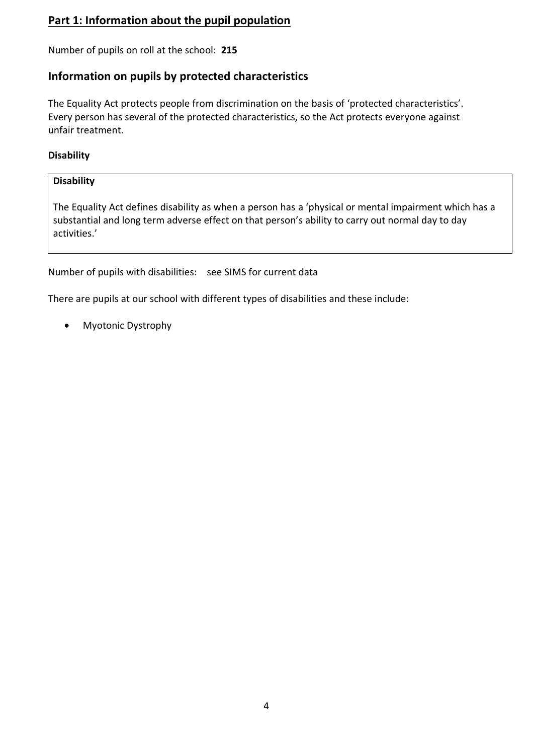## **Part 1: Information about the pupil population**

Number of pupils on roll at the school: **215**

## **Information on pupils by protected characteristics**

The Equality Act protects people from discrimination on the basis of 'protected characteristics'. Every person has several of the protected characteristics, so the Act protects everyone against unfair treatment.

## **Disability**

## **Disability**

The Equality Act defines disability as when a person has a 'physical or mental impairment which has a substantial and long term adverse effect on that person's ability to carry out normal day to day activities.'

Number of pupils with disabilities: see SIMS for current data

There are pupils at our school with different types of disabilities and these include:

• Myotonic Dystrophy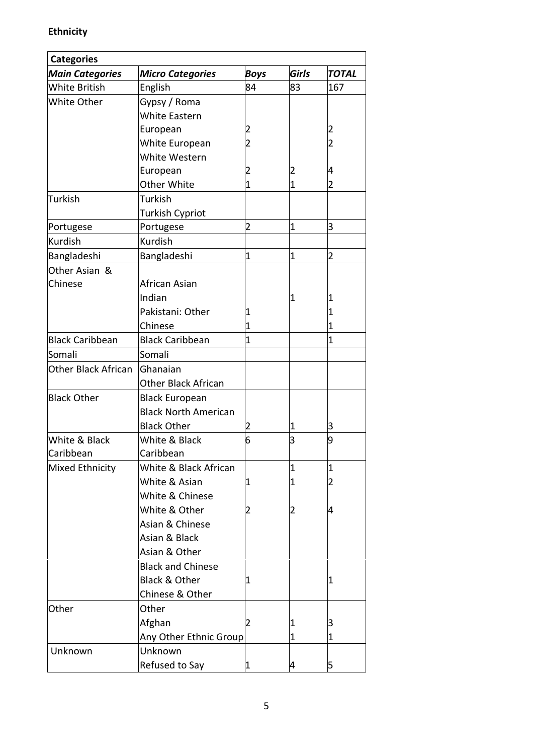# **Ethnicity**

| <b>Categories</b>          |                             |                |                |                |
|----------------------------|-----------------------------|----------------|----------------|----------------|
| <b>Main Categories</b>     | <b>Micro Categories</b>     | <b>Boys</b>    | Girls          | <b>TOTAL</b>   |
| <b>White British</b>       | English                     | 84             | 83             | 167            |
| White Other                | Gypsy / Roma                |                |                |                |
|                            | White Eastern               |                |                |                |
|                            | European                    |                |                | $\overline{2}$ |
|                            | White European              |                |                | $\overline{c}$ |
|                            | White Western               |                |                |                |
|                            | European                    |                | 2              | 4              |
|                            | Other White                 |                | 1              | 2              |
| <b>Turkish</b>             | Turkish                     |                |                |                |
|                            | <b>Turkish Cypriot</b>      |                |                |                |
| Portugese                  | Portugese                   | $\overline{2}$ | $\overline{1}$ | 3              |
| Kurdish                    | <b>Kurdish</b>              |                |                |                |
| Bangladeshi                | Bangladeshi                 | 1              | $\overline{1}$ | $\overline{2}$ |
| Other Asian &              |                             |                |                |                |
| Chinese                    | African Asian               |                |                |                |
|                            | Indian                      |                | 1              | 1              |
|                            | Pakistani: Other            | 1              |                | 1              |
|                            | Chinese                     |                |                | $\overline{1}$ |
| <b>Black Caribbean</b>     | <b>Black Caribbean</b>      | 1              |                | $\overline{1}$ |
| Somali                     | Somali                      |                |                |                |
| <b>Other Black African</b> | Ghanaian                    |                |                |                |
|                            | <b>Other Black African</b>  |                |                |                |
| <b>Black Other</b>         | <b>Black European</b>       |                |                |                |
|                            | <b>Black North American</b> |                |                |                |
|                            | <b>Black Other</b>          |                | 1              | З              |
| White & Black              | White & Black               | 6              | З              | 9              |
| Caribbean                  | Caribbean                   |                |                |                |
| Mixed Ethnicity            | White & Black African       |                | 1              | 1              |
|                            | White & Asian               | 1              | 1              | $\overline{2}$ |
|                            | White & Chinese             |                |                |                |
|                            | White & Other               |                | 2              | 4              |
|                            | Asian & Chinese             |                |                |                |
|                            | Asian & Black               |                |                |                |
|                            | Asian & Other               |                |                |                |
|                            | <b>Black and Chinese</b>    |                |                |                |
|                            | Black & Other               | 1              |                | 1              |
|                            | Chinese & Other             |                |                |                |
| Other                      | Other                       |                |                |                |
|                            | Afghan                      |                | 1              | з              |
|                            | Any Other Ethnic Group      |                | 1              | 1              |
| Unknown                    | Unknown                     |                |                |                |
|                            | Refused to Say              |                | 4              | 5              |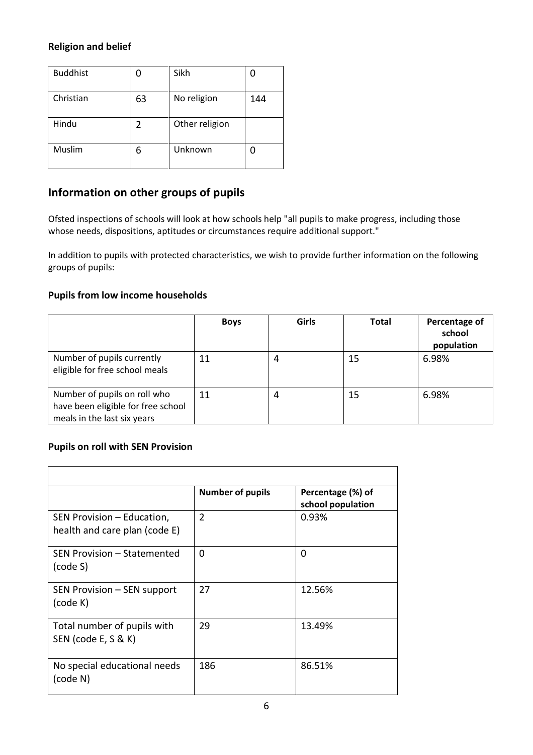## **Religion and belief**

| <b>Buddhist</b> |    | Sikh           |     |
|-----------------|----|----------------|-----|
| Christian       | 63 | No religion    | 144 |
| Hindu           | 2  | Other religion |     |
| Muslim          | 6  | Unknown        |     |

## **Information on other groups of pupils**

Ofsted inspections of schools will look at how schools help "all pupils to make progress, including those whose needs, dispositions, aptitudes or circumstances require additional support."

In addition to pupils with protected characteristics, we wish to provide further information on the following groups of pupils:

## **Pupils from low income households**

|                                                                                                   | <b>Boys</b> | Girls | <b>Total</b> | Percentage of<br>school<br>population |
|---------------------------------------------------------------------------------------------------|-------------|-------|--------------|---------------------------------------|
| Number of pupils currently<br>eligible for free school meals                                      | 11          | 4     | 15           | 6.98%                                 |
| Number of pupils on roll who<br>have been eligible for free school<br>meals in the last six years | 11          | 4     | 15           | 6.98%                                 |

## **Pupils on roll with SEN Provision**

|                                                             | <b>Number of pupils</b> | Percentage (%) of<br>school population |
|-------------------------------------------------------------|-------------------------|----------------------------------------|
| SEN Provision - Education,<br>health and care plan (code E) | $\overline{2}$          | 0.93%                                  |
| SEN Provision - Statemented<br>(code S)                     | $\Omega$                | $\Omega$                               |
| SEN Provision – SEN support<br>(code K)                     | 27                      | 12.56%                                 |
| Total number of pupils with<br>SEN (code E, S & K)          | 29                      | 13.49%                                 |
| No special educational needs<br>(code N)                    | 186                     | 86.51%                                 |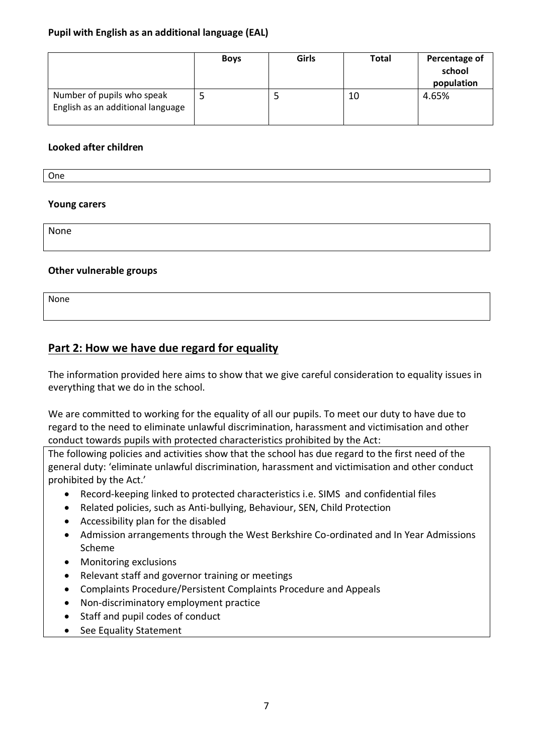## **Pupil with English as an additional language (EAL)**

|                                                                 | <b>Boys</b> | Girls | Total | Percentage of<br>school<br>population |
|-----------------------------------------------------------------|-------------|-------|-------|---------------------------------------|
| Number of pupils who speak<br>English as an additional language |             |       | 10    | 4.65%                                 |

#### **Looked after children**

One

## **Young carers**

None

## **Other vulnerable groups**

None

## **Part 2: How we have due regard for equality**

The information provided here aims to show that we give careful consideration to equality issues in everything that we do in the school.

We are committed to working for the equality of all our pupils. To meet our duty to have due to regard to the need to eliminate unlawful discrimination, harassment and victimisation and other conduct towards pupils with protected characteristics prohibited by the Act:

The following policies and activities show that the school has due regard to the first need of the general duty: 'eliminate unlawful discrimination, harassment and victimisation and other conduct prohibited by the Act.'

- Record-keeping linked to protected characteristics i.e. SIMS and confidential files
- Related policies, such as Anti-bullying, Behaviour, SEN, Child Protection
- Accessibility plan for the disabled
- Admission arrangements through the West Berkshire Co-ordinated and In Year Admissions Scheme
- Monitoring exclusions
- Relevant staff and governor training or meetings
- Complaints Procedure/Persistent Complaints Procedure and Appeals
- Non-discriminatory employment practice
- Staff and pupil codes of conduct
- See Equality Statement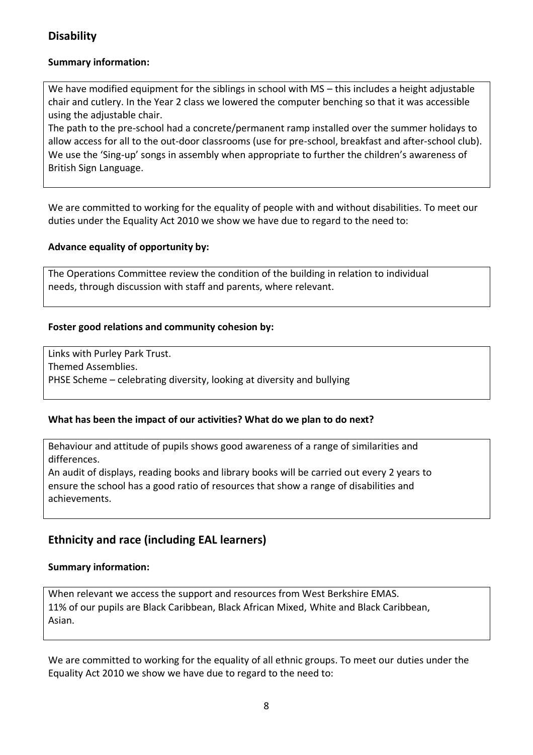## **Disability**

## **Summary information:**

We have modified equipment for the siblings in school with MS – this includes a height adjustable chair and cutlery. In the Year 2 class we lowered the computer benching so that it was accessible using the adjustable chair.

The path to the pre-school had a concrete/permanent ramp installed over the summer holidays to allow access for all to the out-door classrooms (use for pre-school, breakfast and after-school club). We use the 'Sing-up' songs in assembly when appropriate to further the children's awareness of British Sign Language.

We are committed to working for the equality of people with and without disabilities. To meet our duties under the Equality Act 2010 we show we have due to regard to the need to:

## **Advance equality of opportunity by:**

The Operations Committee review the condition of the building in relation to individual needs, through discussion with staff and parents, where relevant.

## **Foster good relations and community cohesion by:**

Links with Purley Park Trust. Themed Assemblies. PHSE Scheme – celebrating diversity, looking at diversity and bullying

## **What has been the impact of our activities? What do we plan to do next?**

Behaviour and attitude of pupils shows good awareness of a range of similarities and differences.

An audit of displays, reading books and library books will be carried out every 2 years to ensure the school has a good ratio of resources that show a range of disabilities and achievements.

## **Ethnicity and race (including EAL learners)**

#### **Summary information:**

When relevant we access the support and resources from West Berkshire EMAS. 11% of our pupils are Black Caribbean, Black African Mixed, White and Black Caribbean, Asian.

We are committed to working for the equality of all ethnic groups. To meet our duties under the Equality Act 2010 we show we have due to regard to the need to: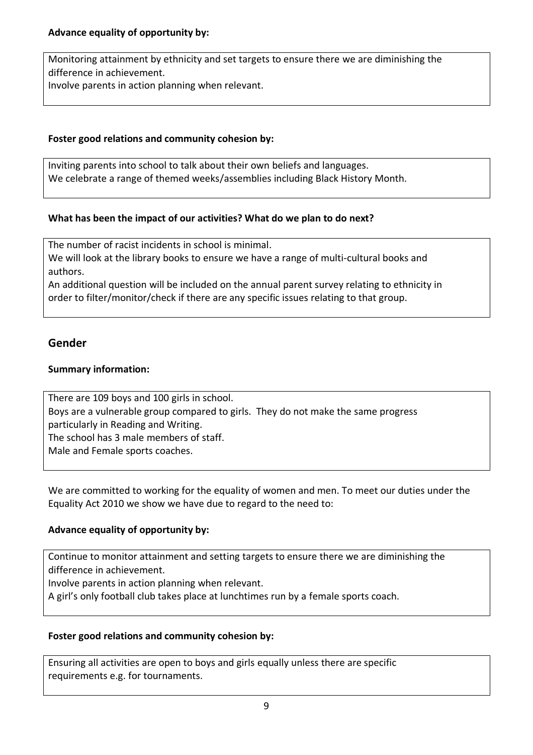Monitoring attainment by ethnicity and set targets to ensure there we are diminishing the difference in achievement. Involve parents in action planning when relevant.

## **Foster good relations and community cohesion by:**

Inviting parents into school to talk about their own beliefs and languages. We celebrate a range of themed weeks/assemblies including Black History Month.

## **What has been the impact of our activities? What do we plan to do next?**

The number of racist incidents in school is minimal. We will look at the library books to ensure we have a range of multi-cultural books and authors.

An additional question will be included on the annual parent survey relating to ethnicity in order to filter/monitor/check if there are any specific issues relating to that group.

## **Gender**

## **Summary information:**

There are 109 boys and 100 girls in school. Boys are a vulnerable group compared to girls. They do not make the same progress particularly in Reading and Writing. The school has 3 male members of staff. Male and Female sports coaches.

We are committed to working for the equality of women and men. To meet our duties under the Equality Act 2010 we show we have due to regard to the need to:

## **Advance equality of opportunity by:**

Continue to monitor attainment and setting targets to ensure there we are diminishing the difference in achievement.

Involve parents in action planning when relevant.

A girl's only football club takes place at lunchtimes run by a female sports coach.

## **Foster good relations and community cohesion by:**

Ensuring all activities are open to boys and girls equally unless there are specific requirements e.g. for tournaments.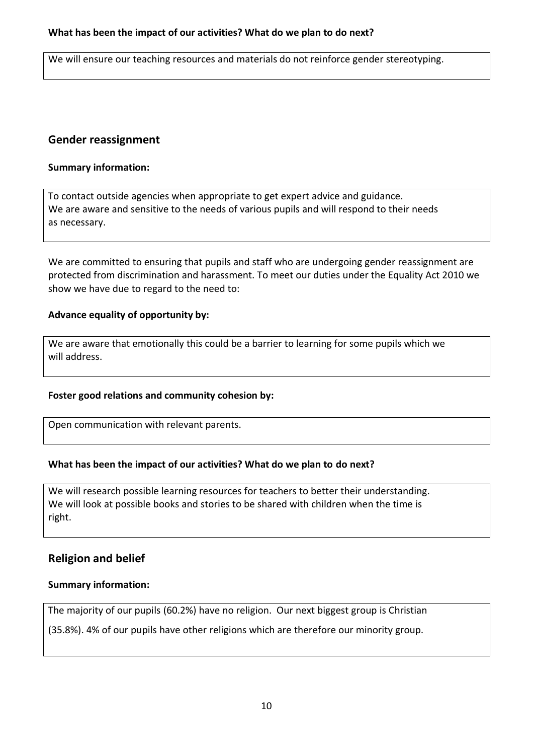We will ensure our teaching resources and materials do not reinforce gender stereotyping.

## **Gender reassignment**

#### **Summary information:**

To contact outside agencies when appropriate to get expert advice and guidance. We are aware and sensitive to the needs of various pupils and will respond to their needs as necessary.

We are committed to ensuring that pupils and staff who are undergoing gender reassignment are protected from discrimination and harassment. To meet our duties under the Equality Act 2010 we show we have due to regard to the need to:

#### **Advance equality of opportunity by:**

We are aware that emotionally this could be a barrier to learning for some pupils which we will address.

#### **Foster good relations and community cohesion by:**

Open communication with relevant parents.

## **What has been the impact of our activities? What do we plan to do next?**

We will research possible learning resources for teachers to better their understanding. We will look at possible books and stories to be shared with children when the time is right.

## **Religion and belief**

#### **Summary information:**

The majority of our pupils (60.2%) have no religion. Our next biggest group is Christian

(35.8%). 4% of our pupils have other religions which are therefore our minority group.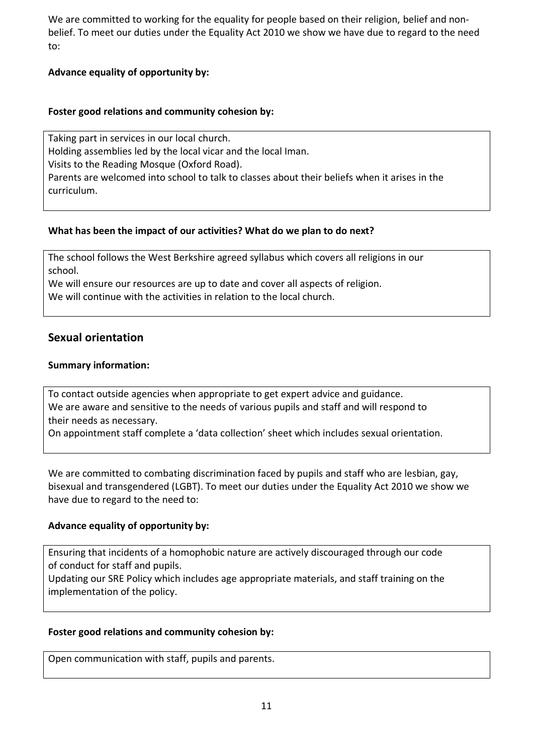We are committed to working for the equality for people based on their religion, belief and nonbelief. To meet our duties under the Equality Act 2010 we show we have due to regard to the need to:

## **Advance equality of opportunity by:**

#### **Foster good relations and community cohesion by:**

Taking part in services in our local church. Holding assemblies led by the local vicar and the local Iman. Visits to the Reading Mosque (Oxford Road). Parents are welcomed into school to talk to classes about their beliefs when it arises in the curriculum.

## **What has been the impact of our activities? What do we plan to do next?**

The school follows the West Berkshire agreed syllabus which covers all religions in our school.

We will ensure our resources are up to date and cover all aspects of religion.

We will continue with the activities in relation to the local church.

## **Sexual orientation**

## **Summary information:**

To contact outside agencies when appropriate to get expert advice and guidance. We are aware and sensitive to the needs of various pupils and staff and will respond to their needs as necessary.

On appointment staff complete a 'data collection' sheet which includes sexual orientation.

We are committed to combating discrimination faced by pupils and staff who are lesbian, gay, bisexual and transgendered (LGBT). To meet our duties under the Equality Act 2010 we show we have due to regard to the need to:

## **Advance equality of opportunity by:**

Ensuring that incidents of a homophobic nature are actively discouraged through our code of conduct for staff and pupils.

Updating our SRE Policy which includes age appropriate materials, and staff training on the implementation of the policy.

## **Foster good relations and community cohesion by:**

Open communication with staff, pupils and parents.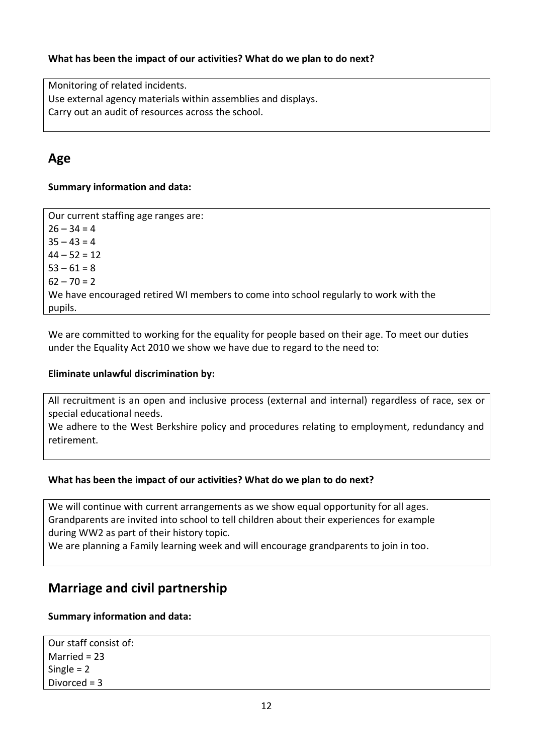## **What has been the impact of our activities? What do we plan to do next?**

Monitoring of related incidents. Use external agency materials within assemblies and displays. Carry out an audit of resources across the school.

## **Age**

## **Summary information and data:**

Our current staffing age ranges are:  $26 - 34 = 4$  $35 - 43 = 4$  $44 - 52 = 12$  $53 - 61 = 8$  $62 - 70 = 2$ We have encouraged retired WI members to come into school regularly to work with the pupils.

We are committed to working for the equality for people based on their age. To meet our duties under the Equality Act 2010 we show we have due to regard to the need to:

#### **Eliminate unlawful discrimination by:**

All recruitment is an open and inclusive process (external and internal) regardless of race, sex or special educational needs.

We adhere to the West Berkshire policy and procedures relating to employment, redundancy and retirement.

## **What has been the impact of our activities? What do we plan to do next?**

We will continue with current arrangements as we show equal opportunity for all ages. Grandparents are invited into school to tell children about their experiences for example during WW2 as part of their history topic.

We are planning a Family learning week and will encourage grandparents to join in too.

## **Marriage and civil partnership**

## **Summary information and data:**

Our staff consist of: Married = 23 Single = 2 Divorced = 3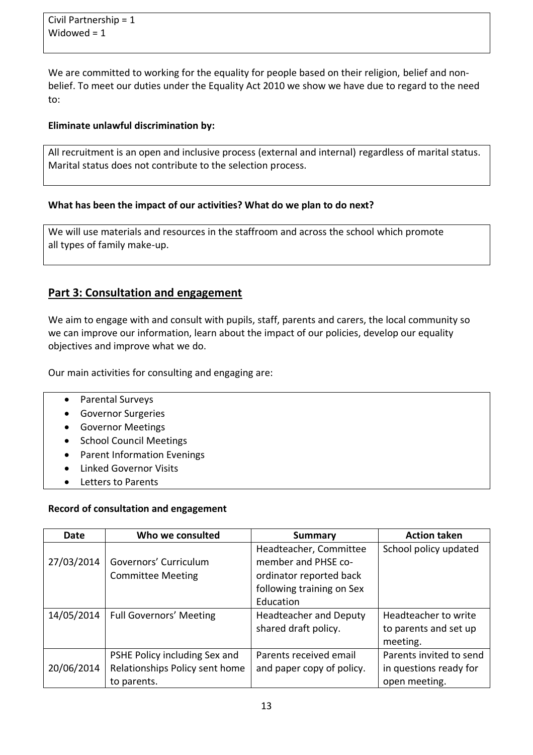We are committed to working for the equality for people based on their religion, belief and nonbelief. To meet our duties under the Equality Act 2010 we show we have due to regard to the need to:

#### **Eliminate unlawful discrimination by:**

All recruitment is an open and inclusive process (external and internal) regardless of marital status. Marital status does not contribute to the selection process.

#### **What has been the impact of our activities? What do we plan to do next?**

We will use materials and resources in the staffroom and across the school which promote all types of family make-up.

## **Part 3: Consultation and engagement**

We aim to engage with and consult with pupils, staff, parents and carers, the local community so we can improve our information, learn about the impact of our policies, develop our equality objectives and improve what we do.

Our main activities for consulting and engaging are:

- Parental Surveys
- Governor Surgeries
- Governor Meetings
- School Council Meetings
- Parent Information Evenings
- Linked Governor Visits
- Letters to Parents

#### **Record of consultation and engagement**

| Date       | Who we consulted               | <b>Summary</b>                | <b>Action taken</b>     |
|------------|--------------------------------|-------------------------------|-------------------------|
|            |                                | Headteacher, Committee        | School policy updated   |
| 27/03/2014 | Governors' Curriculum          | member and PHSE co-           |                         |
|            | <b>Committee Meeting</b>       | ordinator reported back       |                         |
|            |                                | following training on Sex     |                         |
|            |                                | Education                     |                         |
| 14/05/2014 | <b>Full Governors' Meeting</b> | <b>Headteacher and Deputy</b> | Headteacher to write    |
|            |                                | shared draft policy.          | to parents and set up   |
|            |                                |                               | meeting.                |
|            | PSHE Policy including Sex and  | Parents received email        | Parents invited to send |
| 20/06/2014 | Relationships Policy sent home | and paper copy of policy.     | in questions ready for  |
|            | to parents.                    |                               | open meeting.           |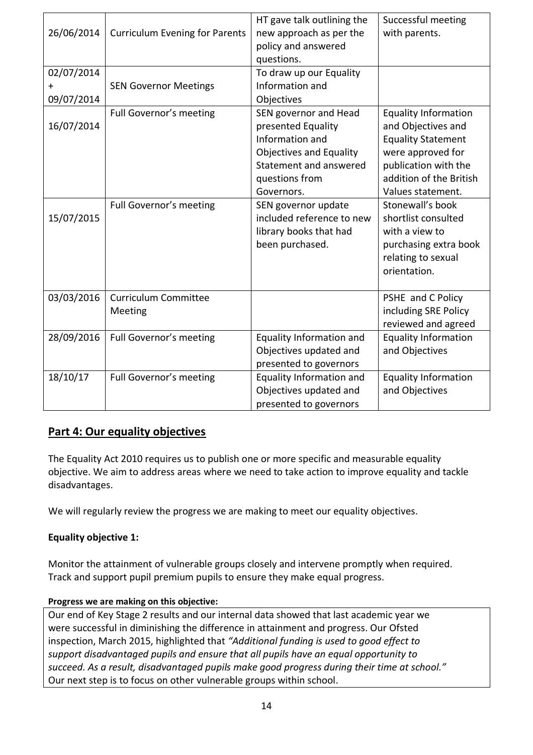| 26/06/2014                      | <b>Curriculum Evening for Parents</b>  | HT gave talk outlining the<br>new approach as per the<br>policy and answered<br>questions.                                                                 | Successful meeting<br>with parents.                                                                                                                                         |
|---------------------------------|----------------------------------------|------------------------------------------------------------------------------------------------------------------------------------------------------------|-----------------------------------------------------------------------------------------------------------------------------------------------------------------------------|
| 02/07/2014<br>$+$<br>09/07/2014 | <b>SEN Governor Meetings</b>           | To draw up our Equality<br>Information and<br>Objectives                                                                                                   |                                                                                                                                                                             |
| 16/07/2014                      | Full Governor's meeting                | SEN governor and Head<br>presented Equality<br>Information and<br><b>Objectives and Equality</b><br>Statement and answered<br>questions from<br>Governors. | <b>Equality Information</b><br>and Objectives and<br><b>Equality Statement</b><br>were approved for<br>publication with the<br>addition of the British<br>Values statement. |
| 15/07/2015                      | Full Governor's meeting                | SEN governor update<br>included reference to new<br>library books that had<br>been purchased.                                                              | Stonewall's book<br>shortlist consulted<br>with a view to<br>purchasing extra book<br>relating to sexual<br>orientation.                                                    |
| 03/03/2016                      | <b>Curriculum Committee</b><br>Meeting |                                                                                                                                                            | PSHE and C Policy<br>including SRE Policy<br>reviewed and agreed                                                                                                            |
| 28/09/2016                      | Full Governor's meeting                | Equality Information and<br>Objectives updated and<br>presented to governors                                                                               | <b>Equality Information</b><br>and Objectives                                                                                                                               |
| 18/10/17                        | Full Governor's meeting                | Equality Information and<br>Objectives updated and<br>presented to governors                                                                               | <b>Equality Information</b><br>and Objectives                                                                                                                               |

## **Part 4: Our equality objectives**

The Equality Act 2010 requires us to publish one or more specific and measurable equality objective. We aim to address areas where we need to take action to improve equality and tackle disadvantages.

We will regularly review the progress we are making to meet our equality objectives.

## **Equality objective 1:**

Monitor the attainment of vulnerable groups closely and intervene promptly when required. Track and support pupil premium pupils to ensure they make equal progress.

## **Progress we are making on this objective:**

Our end of Key Stage 2 results and our internal data showed that last academic year we were successful in diminishing the difference in attainment and progress. Our Ofsted inspection, March 2015, highlighted that *"Additional funding is used to good effect to support disadvantaged pupils and ensure that all pupils have an equal opportunity to succeed. As a result, disadvantaged pupils make good progress during their time at school."* Our next step is to focus on other vulnerable groups within school.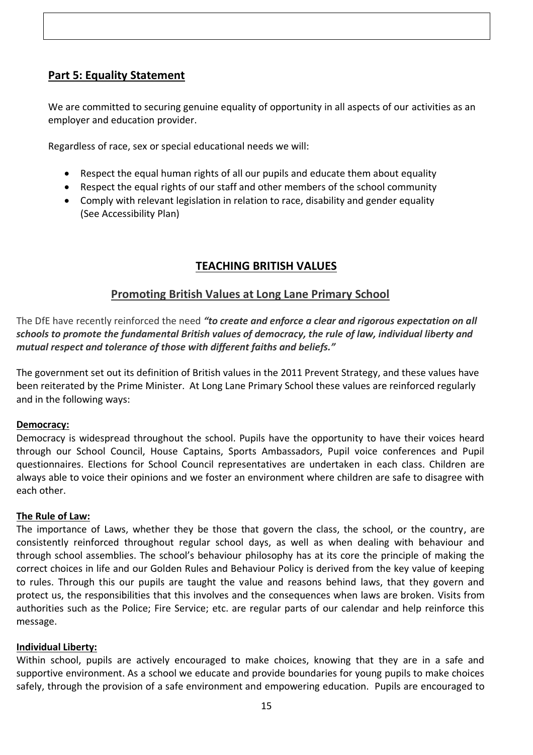## **Part 5: Equality Statement**

We are committed to securing genuine equality of opportunity in all aspects of our activities as an employer and education provider.

Regardless of race, sex or special educational needs we will:

- Respect the equal human rights of all our pupils and educate them about equality
- Respect the equal rights of our staff and other members of the school community
- Comply with relevant legislation in relation to race, disability and gender equality (See Accessibility Plan)

## **TEACHING BRITISH VALUES**

## **Promoting British Values at Long Lane Primary School**

The DfE have recently reinforced the need *"to create and enforce a clear and rigorous expectation on all schools to promote the fundamental British values of democracy, the rule of law, individual liberty and mutual respect and tolerance of those with different faiths and beliefs."*

The government set out its definition of British values in the 2011 Prevent Strategy, and these values have been reiterated by the Prime Minister. At Long Lane Primary School these values are reinforced regularly and in the following ways:

#### **Democracy:**

Democracy is widespread throughout the school. Pupils have the opportunity to have their voices heard through our School Council, House Captains, Sports Ambassadors, Pupil voice conferences and Pupil questionnaires. Elections for School Council representatives are undertaken in each class. Children are always able to voice their opinions and we foster an environment where children are safe to disagree with each other.

## **The Rule of Law:**

The importance of Laws, whether they be those that govern the class, the school, or the country, are consistently reinforced throughout regular school days, as well as when dealing with behaviour and through school assemblies. The school's behaviour philosophy has at its core the principle of making the correct choices in life and our Golden Rules and Behaviour Policy is derived from the key value of keeping to rules. Through this our pupils are taught the value and reasons behind laws, that they govern and protect us, the responsibilities that this involves and the consequences when laws are broken. Visits from authorities such as the Police; Fire Service; etc. are regular parts of our calendar and help reinforce this message.

#### **Individual Liberty:**

Within school, pupils are actively encouraged to make choices, knowing that they are in a safe and supportive environment. As a school we educate and provide boundaries for young pupils to make choices safely, through the provision of a safe environment and empowering education. Pupils are encouraged to